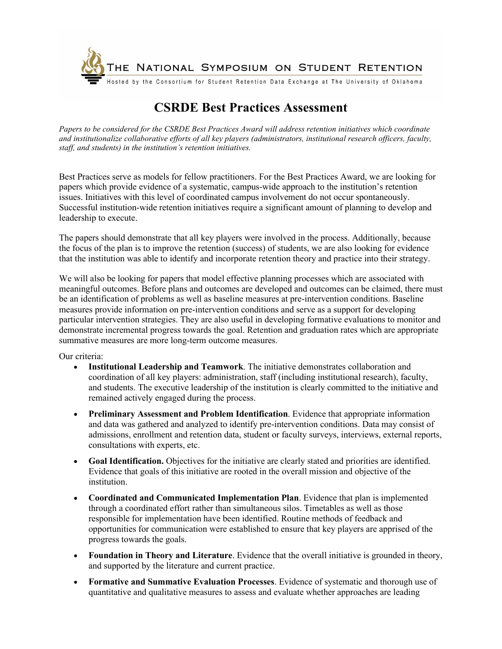

## **CSRDE Best Practices Assessment**

*Papers to be considered for the CSRDE Best Practices Award will address retention initiatives which coordinate and institutionalize collaborative efforts of all key players (administrators, institutional research officers, faculty, staff, and students) in the institution's retention initiatives.* 

Best Practices serve as models for fellow practitioners. For the Best Practices Award, we are looking for papers which provide evidence of a systematic, campus-wide approach to the institution's retention issues. Initiatives with this level of coordinated campus involvement do not occur spontaneously. Successful institution-wide retention initiatives require a significant amount of planning to develop and leadership to execute.

The papers should demonstrate that all key players were involved in the process. Additionally, because the focus of the plan is to improve the retention (success) of students, we are also looking for evidence that the institution was able to identify and incorporate retention theory and practice into their strategy.

We will also be looking for papers that model effective planning processes which are associated with meaningful outcomes. Before plans and outcomes are developed and outcomes can be claimed, there must be an identification of problems as well as baseline measures at pre-intervention conditions. Baseline measures provide information on pre-intervention conditions and serve as a support for developing particular intervention strategies. They are also useful in developing formative evaluations to monitor and demonstrate incremental progress towards the goal. Retention and graduation rates which are appropriate summative measures are more long-term outcome measures.

Our criteria:

- **Institutional Leadership and Teamwork**. The initiative demonstrates collaboration and coordination of all key players: administration, staff (including institutional research), faculty, and students. The executive leadership of the institution is clearly committed to the initiative and remained actively engaged during the process.
- **Preliminary Assessment and Problem Identification**. Evidence that appropriate information and data was gathered and analyzed to identify pre-intervention conditions. Data may consist of admissions, enrollment and retention data, student or faculty surveys, interviews, external reports, consultations with experts, etc.
- **Goal Identification.** Objectives for the initiative are clearly stated and priorities are identified. Evidence that goals of this initiative are rooted in the overall mission and objective of the institution.
- **Coordinated and Communicated Implementation Plan**. Evidence that plan is implemented through a coordinated effort rather than simultaneous silos. Timetables as well as those responsible for implementation have been identified. Routine methods of feedback and opportunities for communication were established to ensure that key players are apprised of the progress towards the goals.
- **Foundation in Theory and Literature**. Evidence that the overall initiative is grounded in theory, and supported by the literature and current practice.
- **Formative and Summative Evaluation Processes**. Evidence of systematic and thorough use of quantitative and qualitative measures to assess and evaluate whether approaches are leading